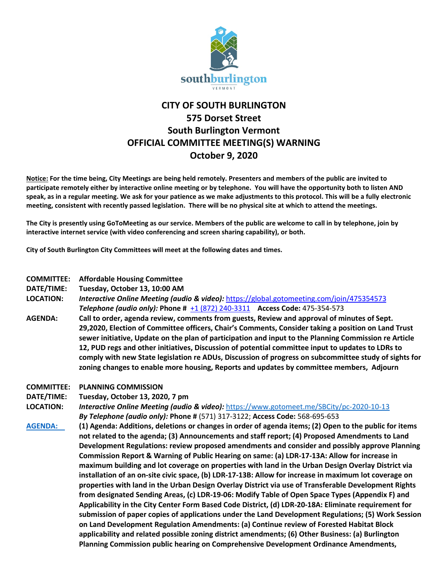

## **CITY OF SOUTH BURLINGTON 575 Dorset Street South Burlington Vermont OFFICIAL COMMITTEE MEETING(S) WARNING October 9, 2020**

**Notice: For the time being, City Meetings are being held remotely. Presenters and members of the public are invited to participate remotely either by interactive online meeting or by telephone. You will have the opportunity both to listen AND speak, as in a regular meeting. We ask for your patience as we make adjustments to this protocol. This will be a fully electronic meeting, consistent with recently passed legislation. There will be no physical site at which to attend the meetings.** 

**The City is presently using GoToMeeting as our service. Members of the public are welcome to call in by telephone, join by interactive internet service (with video conferencing and screen sharing capability), or both.**

**City of South Burlington City Committees will meet at the following dates and times.** 

## **COMMITTEE: Affordable Housing Committee**

**DATE/TIME: Tuesday, October 13, 10:00 AM**

**LOCATION:** *Interactive Online Meeting (audio & video):* <https://global.gotomeeting.com/join/475354573> *Telephone (audio only):* **Phone #** [+1 \(872\) 240-3311](tel:+18722403311,,475354573) **Access Code:** 475-354-573

- **AGENDA: Call to order, agenda review, comments from guests, Review and approval of minutes of Sept. 29,2020, Election of Committee officers, Chair's Comments, Consider taking a position on Land Trust sewer initiative, Update on the plan of participation and input to the Planning Commission re Article 12, PUD regs and other initiatives, Discussion of potential committee input to updates to LDRs to comply with new State legislation re ADUs, Discussion of progress on subcommittee study of sights for zoning changes to enable more housing, Reports and updates by committee members, Adjourn**
- **COMMITTEE: PLANNING COMMISSION**
- **DATE/TIME: Tuesday, October 13, 2020, 7 pm**

**LOCATION:** *Interactive Online Meeting (audio & video):* <https://www.gotomeet.me/SBCity/pc-2020-10-13> *By Telephone (audio only):* **Phone #** (571) 317-3122; **Access Code:** 568-695-653

**[AGENDA:](http://sbvt-records.info/WebLink/Browse.aspx?id=85382&dbid=0&repo=sburl) (1) Agenda: Additions, deletions or changes in order of agenda items; (2) Open to the public for items not related to the agenda; (3) Announcements and staff report; (4) Proposed Amendments to Land Development Regulations: review proposed amendments and consider and possibly approve Planning Commission Report & Warning of Public Hearing on same: (a) LDR-17-13A: Allow for increase in maximum building and lot coverage on properties with land in the Urban Design Overlay District via installation of an on-site civic space, (b) LDR-17-13B: Allow for increase in maximum lot coverage on properties with land in the Urban Design Overlay District via use of Transferable Development Rights from designated Sending Areas, (c) LDR-19-06: Modify Table of Open Space Types (Appendix F) and Applicability in the City Center Form Based Code District, (d) LDR-20-18A: Eliminate requirement for submission of paper copies of applications under the Land Development Regulations; (5) Work Session on Land Development Regulation Amendments: (a) Continue review of Forested Habitat Block applicability and related possible zoning district amendments; (6) Other Business: (a) Burlington Planning Commission public hearing on Comprehensive Development Ordinance Amendments,**